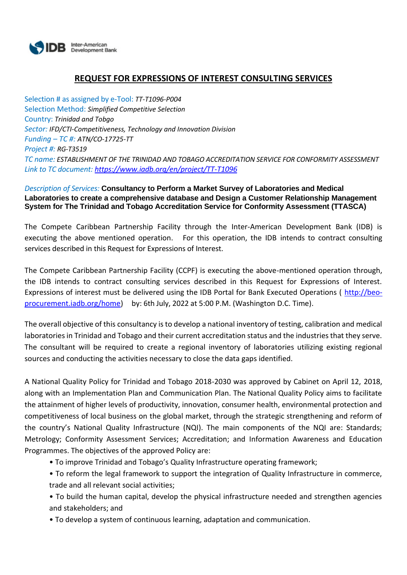

# **REQUEST FOR EXPRESSIONS OF INTEREST CONSULTING SERVICES**

Selection # as assigned by e-Tool: *TT-T1096-P004* Selection Method: *Simplified Competitive Selection* Country: *Trinidad and Tobgo Sector: IFD/CTI-Competitiveness, Technology and Innovation Division Funding – TC #: ATN/CO-17725-TT Project #: RG-T3519 TC name: ESTABLISHMENT OF THE TRINIDAD AND TOBAGO ACCREDITATION SERVICE FOR CONFORMITY ASSESSMENT Link to TC document[: https://www.iadb.org/en/project/TT-T1096](https://www.iadb.org/en/project/TT-T1096)*

#### *Description of Services:* **Consultancy to Perform a Market Survey of Laboratories and Medical Laboratories to create a comprehensive database and Design a Customer Relationship Management System for The Trinidad and Tobago Accreditation Service for Conformity Assessment (TTASCA)**

The Compete Caribbean Partnership Facility through the Inter-American Development Bank (IDB) is executing the above mentioned operation. For this operation, the IDB intends to contract consulting services described in this Request for Expressions of Interest.

The Compete Caribbean Partnership Facility (CCPF) is executing the above-mentioned operation through, the IDB intends to contract consulting services described in this Request for Expressions of Interest. Expressions of interest must be delivered using the IDB Portal for Bank Executed Operations ( [http://beo](http://beo-procurement.iadb.org/home)[procurement.iadb.org/home\)](http://beo-procurement.iadb.org/home) by: 6th July, 2022 at 5:00 P.M. (Washington D.C. Time).

The overall objective of this consultancy is to develop a national inventory of testing, calibration and medical laboratories in Trinidad and Tobago and their current accreditation status and the industries that they serve. The consultant will be required to create a regional inventory of laboratories utilizing existing regional sources and conducting the activities necessary to close the data gaps identified.

A National Quality Policy for Trinidad and Tobago 2018-2030 was approved by Cabinet on April 12, 2018, along with an Implementation Plan and Communication Plan. The National Quality Policy aims to facilitate the attainment of higher levels of productivity, innovation, consumer health, environmental protection and competitiveness of local business on the global market, through the strategic strengthening and reform of the country's National Quality Infrastructure (NQI). The main components of the NQI are: Standards; Metrology; Conformity Assessment Services; Accreditation; and Information Awareness and Education Programmes. The objectives of the approved Policy are:

- To improve Trinidad and Tobago's Quality Infrastructure operating framework;
- To reform the legal framework to support the integration of Quality Infrastructure in commerce, trade and all relevant social activities;

• To build the human capital, develop the physical infrastructure needed and strengthen agencies and stakeholders; and

• To develop a system of continuous learning, adaptation and communication.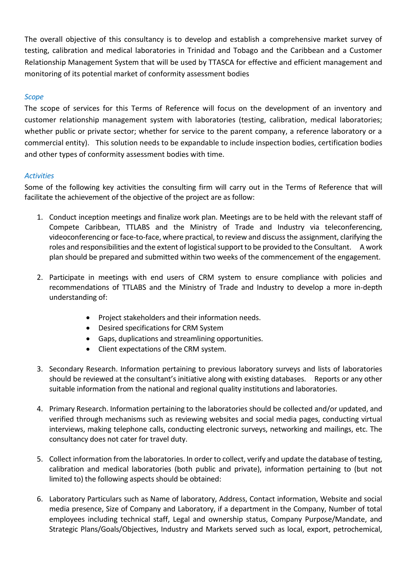The overall objective of this consultancy is to develop and establish a comprehensive market survey of testing, calibration and medical laboratories in Trinidad and Tobago and the Caribbean and a Customer Relationship Management System that will be used by TTASCA for effective and efficient management and monitoring of its potential market of conformity assessment bodies

## *Scope*

The scope of services for this Terms of Reference will focus on the development of an inventory and customer relationship management system with laboratories (testing, calibration, medical laboratories; whether public or private sector; whether for service to the parent company, a reference laboratory or a commercial entity). This solution needs to be expandable to include inspection bodies, certification bodies and other types of conformity assessment bodies with time.

## *Activities*

Some of the following key activities the consulting firm will carry out in the Terms of Reference that will facilitate the achievement of the objective of the project are as follow:

- 1. Conduct inception meetings and finalize work plan. Meetings are to be held with the relevant staff of Compete Caribbean, TTLABS and the Ministry of Trade and Industry via teleconferencing, videoconferencing or face-to-face, where practical, to review and discuss the assignment, clarifying the roles and responsibilities and the extent of logistical support to be provided to the Consultant. A work plan should be prepared and submitted within two weeks of the commencement of the engagement.
- 2. Participate in meetings with end users of CRM system to ensure compliance with policies and recommendations of TTLABS and the Ministry of Trade and Industry to develop a more in-depth understanding of:
	- Project stakeholders and their information needs.
	- Desired specifications for CRM System
	- Gaps, duplications and streamlining opportunities.
	- Client expectations of the CRM system.
- 3. Secondary Research. Information pertaining to previous laboratory surveys and lists of laboratories should be reviewed at the consultant's initiative along with existing databases. Reports or any other suitable information from the national and regional quality institutions and laboratories.
- 4. Primary Research. Information pertaining to the laboratories should be collected and/or updated, and verified through mechanisms such as reviewing websites and social media pages, conducting virtual interviews, making telephone calls, conducting electronic surveys, networking and mailings, etc. The consultancy does not cater for travel duty.
- 5. Collect information from the laboratories. In order to collect, verify and update the database of testing, calibration and medical laboratories (both public and private), information pertaining to (but not limited to) the following aspects should be obtained:
- 6. Laboratory Particulars such as Name of laboratory, Address, Contact information, Website and social media presence, Size of Company and Laboratory, if a department in the Company, Number of total employees including technical staff, Legal and ownership status, Company Purpose/Mandate, and Strategic Plans/Goals/Objectives, Industry and Markets served such as local, export, petrochemical,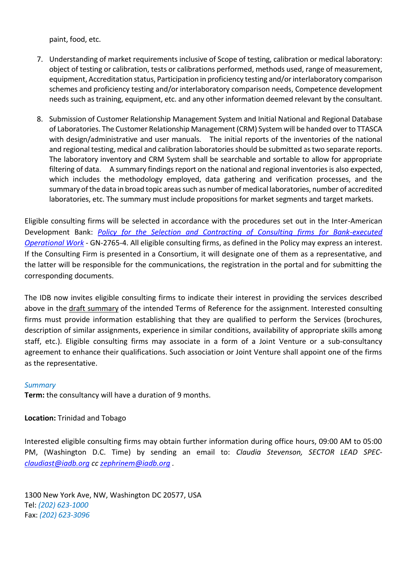paint, food, etc.

- 7. Understanding of market requirements inclusive of Scope of testing, calibration or medical laboratory: object of testing or calibration, tests or calibrations performed, methods used, range of measurement, equipment, Accreditation status, Participation in proficiency testing and/or interlaboratory comparison schemes and proficiency testing and/or interlaboratory comparison needs, Competence development needs such as training, equipment, etc. and any other information deemed relevant by the consultant.
- 8. Submission of Customer Relationship Management System and Initial National and Regional Database of Laboratories. The Customer Relationship Management (CRM) System will be handed over to TTASCA with design/administrative and user manuals. The initial reports of the inventories of the national and regional testing, medical and calibration laboratories should be submitted as two separate reports. The laboratory inventory and CRM System shall be searchable and sortable to allow for appropriate filtering of data. A summary findings report on the national and regional inventories is also expected, which includes the methodology employed, data gathering and verification processes, and the summary of the data in broad topic areas such as number of medical laboratories, number of accredited laboratories, etc. The summary must include propositions for market segments and target markets.

Eligible consulting firms will be selected in accordance with the procedures set out in the Inter-American Development Bank: *[Policy for the Selection and Contracting of Consulting firms for Bank-executed](http://idbdocs.iadb.org/wsdocs/getdocument.aspx?DOCNUM=38988574)  [Operational Work](http://idbdocs.iadb.org/wsdocs/getdocument.aspx?DOCNUM=38988574)* - GN-2765-4. All eligible consulting firms, as defined in the Policy may express an interest. If the Consulting Firm is presented in a Consortium, it will designate one of them as a representative, and the latter will be responsible for the communications, the registration in the portal and for submitting the corresponding documents.

The IDB now invites eligible consulting firms to indicate their interest in providing the services described above in the draft summary of the intended Terms of Reference for the assignment. Interested consulting firms must provide information establishing that they are qualified to perform the Services (brochures, description of similar assignments, experience in similar conditions, availability of appropriate skills among staff, etc.). Eligible consulting firms may associate in a form of a Joint Venture or a sub-consultancy agreement to enhance their qualifications. Such association or Joint Venture shall appoint one of the firms as the representative.

#### *Summary*

**Term:** the consultancy will have a duration of 9 months.

**Location:** Trinidad and Tobago

Interested eligible consulting firms may obtain further information during office hours, 09:00 AM to 05:00 PM, (Washington D.C. Time) by sending an email to: *Claudia Stevenson, SECTOR LEAD SPEC[claudiast@iadb.org](mailto:claudiast@iadb.org) cc [zephrinem@iadb.org](mailto:zephrinem@iadb.org) .* 

1300 New York Ave, NW, Washington DC 20577, USA Tel: *(202) 623-1000* Fax: *(202) 623-3096*